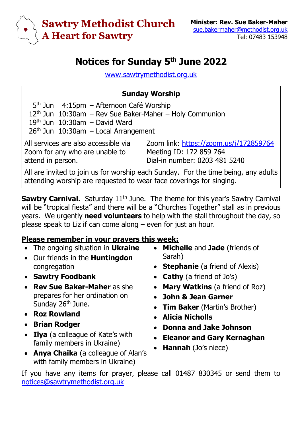

## **Notices for Sunday 5 th June 2022**

[www.sawtrymethodist.org.uk](http://www.sawtrymethodist.org.uk/)

## **Sunday Worship**

5<sup>th</sup> Jun 4:15pm – Afternoon Café Worship 12th Jun 10:30am – Rev Sue Baker-Maher – Holy Communion  $19<sup>th</sup>$  Jun  $10:30$ am – David Ward  $26<sup>th</sup>$  Jun  $10:30$ am – Local Arrangement

All services are also accessible via Zoom for any who are unable to attend in person.

Zoom link:<https://zoom.us/j/172859764> Meeting ID: 172 859 764 Dial-in number: 0203 481 5240

All are invited to join us for worship each Sunday. For the time being, any adults attending worship are requested to wear face coverings for singing.

**Sawtry Carnival.** Saturday 11<sup>th</sup> June. The theme for this year's Sawtry Carnival will be "tropical fiesta" and there will be a "Churches Together" stall as in previous years. We urgently **need volunteers** to help with the stall throughout the day, so please speak to Liz if can come along – even for just an hour.

## **Please remember in your prayers this week:**

- The ongoing situation in **Ukraine**
- Our friends in the **Huntingdon** congregation
- **Sawtry Foodbank**
- **Rev Sue Baker-Maher** as she prepares for her ordination on Sunday 26<sup>th</sup> June.
- **Roz Rowland**
- **Brian Rodger**
- **Ilya** (a colleague of Kate's with family members in Ukraine)
- **Anya Chaika** (a colleague of Alan's with family members in Ukraine)
- **Michelle** and **Jade** (friends of Sarah)
- **Stephanie** (a friend of Alexis)
- **Cathy** (a friend of Jo's)
- **Mary Watkins** (a friend of Roz)
- **John & Jean Garner**
- **Tim Baker** (Martin's Brother)
- **Alicia Nicholls**
- **Donna and Jake Johnson**
- **Eleanor and Gary Kernaghan**
- **Hannah** (Jo's niece)

If you have any items for prayer, please call 01487 830345 or send them to [notices@sawtrymethodist.org.uk](mailto:notices@sawtrymethodist.org.uk)